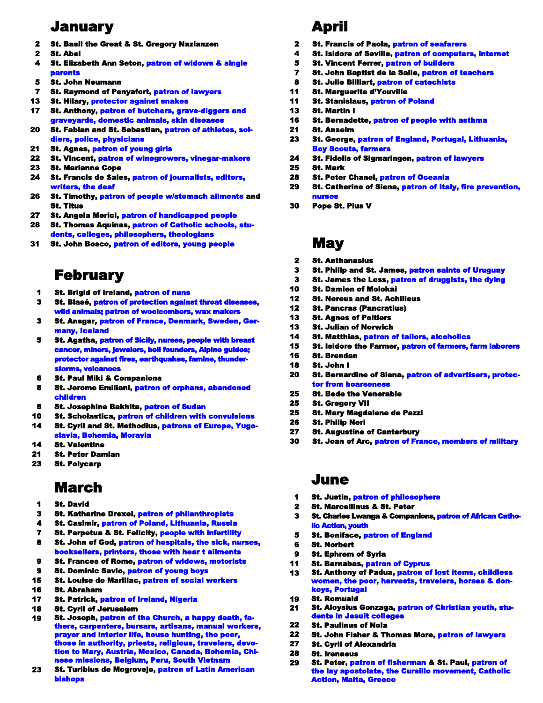### January

- 2 St. Basil the Great & St. Gregory Nazianzen
- 2 St. Abel
- 4 St. Elizabeth Ann Seton, patron of widows & single parents
- 5 St. John Neumann
- 7 St. Raymond of Penyafort, patron of lawyers
- 13 St. Hilary, protector against snakes
- 17 St. Anthony, patron of butchers, grave-diggers and graveyards, domestic animals, skin diseases
- 20 St. Fabian and St. Sebastian, patron of athletes, soldiers, police, physicians
- 21 St. Agnes, patron of young girls
- 22 St. Vincent, patron of winegrowers, vinegar-makers
- 23 St. Marianne Cope
- 24 St. Francis de Sales, patron of journalists, editors, writers, the deaf
- 26 St. Timothy, patron of people w/stomach ailments and St. Titus
- 27 St. Angela Merici, patron of handicapped people
- 28 St. Thomas Aquinas, patron of Catholic schools, students, colleges, philosophers, theologians
- 31 St. John Bosco, patron of editors, young people

## February

- 1 **St. Brigid of Ireland, patron of nuns**
- 3 St. Blasé, patron of protection against throat diseases, wild animals; patron of woolcombers, wax makers
- 3 St. Ansgar, patron of France, Denmark, Sweden, Germany, Iceland
- 5 St. Agatha, patron of Sicily, nurses, people with breast cancer, miners, jewelers, bell founders, Alpine guides; protector against fires, earthquakes, famine, thunderstorms, volcanoes
- 6 St. Paul Miki & Companions
- 8 St. Jerome Emiliani, patron of orphans, abandoned children
- 8 St. Josephine Bakhita, patron of Sudan
- 10 14 St. Scholastica, patron of children with convulsions St. Cyril and St. Methodius, patrons of Europe, Yugo-
- slavia, Bohemia, Moravia
- 14 St. Valentine
- 21 St. Peter Damian
- 23 St. Polycarp

## March

- 1 St. David
- 3 St. Katharine Drexel, patron of philanthropists
- 4 St. Casimir, patron of Poland, Lithuania, Russia
- 7 St. Perpetua & St. Felicity, people with infertility
- 8 St. John of God, patron of hospitals, the sick, nurses, booksellers, printers, those with hear t ailments
- $\Omega$ St. Frances of Rome, patron of widows, motorists
- $\bullet$ St. Dominic Savio, patron of young boys
- 15 **St. Louise de Marillac, patron of social workers**
- 16 St. Abraham
- 17 St. Patrick, patron of Ireland, Nigeria
- 18 St. Cyril of Jerusalem
- 19 St. Joseph, patron of the Church, a happy death, fathers, carpenters, bursars, artisans, manual workers, prayer and interior life, house hunting, the poor, those in authority, priests, religious, travelers, devotion to Mary, Austria, Mexico, Canada, Bohemia, Chinese missions, Belgium, Peru, South Vietnam
- 23 St. Turibius de Mogrovejo, patron of Latin American bishops

# April

- 2 **St. Francis of Paola, patron of seafarers**
- 4 St. Isidore of Seville, patron of computers, internet
- 5 St. Vincent Ferrer, patron of builders
- 7 **St. John Baptist de la Salle, patron of teachers**
- 8 St. Julie Billiart, patron of catechists
- 11 St. Marguerite d'Youville
- 11 St. Stanislaus, patron of Poland
- 13 St. Martin I
- 16 St. Bernadette, patron of people with asthma
- 21 St. Anselm
- 23 St. George, patron of England, Portugal, Lithuania, Boy Scouts, farmers
- 24 St. Fidelis of Sigmaringen, patron of lawyers
- 25 St. Mark
- 28 St. Peter Chanel, patron of Oceania
- 29 St. Catherine of Siena, patron of Italy, fire prevention, nurses
- 30 Pope St. Pius V

### **May**

- 2 St. Anthanasius
- 3 St. Philip and St. James, patron saints of Uruguay
- 3 St. James the Less, patron of druggists, the dying
- 10 St. Damien of Molokai
- 12 St. Nereus and St. Achilleus
- 12 St. Pancras (Pancratius)
- 13 St. Agnes of Poitiers
- 13 St. Julian of Norwich
- 14 St. Matthias, patron of tailors, alcoholics
- 15 St. Isidore the Farmer, patron of farmers, farm laborers
- 16 St. Brendan
- 18 St. John I
- 20 St. Bernardine of Siena, patron of advertisers, protector from hoarseness
- 25 St. Bede the Venerable
- 25 St. Gregory VII
- 25 St. Mary Magdalene de Pazzi
- 26 St. Philip Neri
- 27 St. Augustine of Canterbury
- 30 St. Joan of Arc, patron of France, members of military

#### June

- 1 St. Justin, patron of philosophers
- 2 St. Marcellinus & St. Peter
- 3 St. Charles Lwanga & Companions, patron of African Catholic Action, youth
- 5 St. Boniface, patron of England
- 6 St. Norbert
- $\bullet$ St. Ephrem of Syria
- 11 St. Barnabas, patron of Cyprus
- 13 St. Anthony of Padua, patron of lost items, childless women, the poor, harvests, travelers, horses & donkeys, Portugal
- 19 St. Romuald
- 21 St. Aloysius Gonzaga, patron of Christian youth, students in Jesuit colleges
- 22 St. Paulinus of Nola
- 22 St. John Fisher & Thomas More, patron of lawyers
- 27 St. Cyril of Alexandria
- 28 St. Irenaeus
- 29 St. Peter, patron of fisherman & St. Paul, patron of the lay apostolate, the Cursillo movement, Catholic Action, Malta, Greece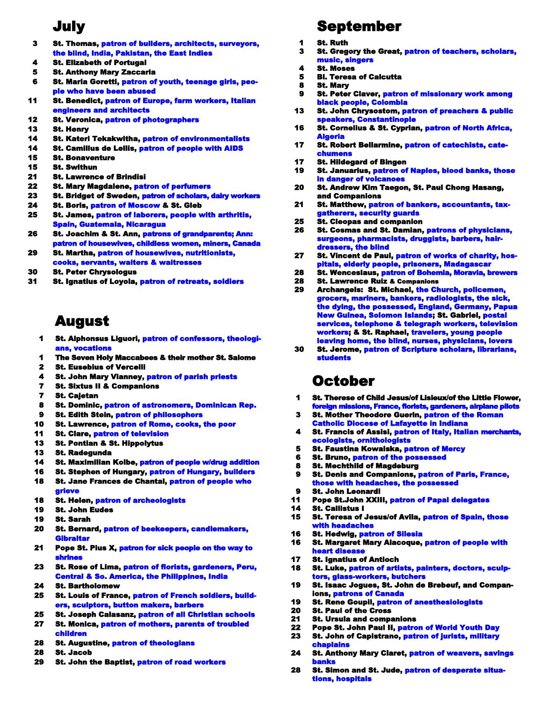### July

- 3 St. Thomas, patron of builders, architects, surveyors, the blind, India, Pakistan, the East Indies
- 4 St. Elizabeth of Portugal
- 5 St. Anthony Mary Zaccaria
- 6 St. Maria Goretti, patron of youth, teenage girls, people who have been abused
- 11 St. Benedict, patron of Europe, farm workers, Italian engineers and architects
- 12 **St. Veronica, patron of photographers**
- 13 St. Henry
- 14 **St. Kateri Tekakwitha, patron of environmentalists**
- 14 St. Camillus de Lellis, patron of people with AIDS
- 15 St. Bonaventure
- 15 St. Swithun
- 21 St. Lawrence of Brindisi
- 22 St. Mary Magdalene, patron of perfumers
- 23 **St. Bridget of Sweden, patron of scholars, dairy workers**
- 24 St. Boris, patron of Moscow & St. Gleb
- 25 St. James, patron of laborers, people with arthritis, Spain, Guatemala, Nicaragua
- 26 St. Joachim & St. Ann, patrons of grandparents; Ann: patron of housewives, childless women, miners, Canada
- 29 St. Martha, patron of housewives, nutritionists, cooks, servants, waiters & waitresses
- 30 St. Peter Chrysologus
- 31 St. Ignatius of Loyola, patron of retreats, soldiers

## August

- 1 St. Alphonsus Liguori, patron of confessors, theologians, vocations
- 1 The Seven Holy Maccabees & their mother St. Salome
- $\overline{2}$ St. Eusebius of Vercelli
- 4 **St. John Mary Vianney, patron of parish priests**
- 7 St. Sixtus II & Companions
- 7 St. Cajetan
- 8 St. Dominic, patron of astronomers, Dominican Rep.
- 9 St. Edith Stein, patron of philosophers
- 10 St. Lawrence, patron of Rome, cooks, the poor
- 11 St. Clare, patron of television
- 13 St. Pontian & St. Hippolytus
- 13 St. Radegunda
- 14 St. Maximilian Kolbe, patron of people w/drug addition
- 16 St. Stephen of Hungary, patron of Hungary, builders
- 18 St. Jane Frances de Chantal, patron of people who grieve
- 18 St. Helen, patron of archeologists
- 19 St. John Eudes
- 19 St. Sarah
- 20 St. Bernard, patron of beekeepers, candlemakers, **Gibraltar**
- 21 Pope St. Pius X, patron for sick people on the way to shrines
- 23 St. Rose of Lima, patron of florists, gardeners, Peru, Central & So. America, the Philippines, India
- 24 St. Bartholomew
- 25 St. Louis of France, patron of French soldiers, builders, sculptors, button makers, barbers
- 25 27 St. Joseph Calasanz, patron of all Christian schools St. Monica, patron of mothers, parents of troubled
- children
- 28 St. Augustine, patron of theologians
- 28 St. Jacob
- 29 St. John the Baptist, patron of road workers

# September

- 1 St. Ruth
- 3 St. Gregory the Great, patron of teachers, scholars, music, singers
- 4 St. Moses
- 5 Bl. Teresa of Calcutta
- 8 St. Mary
- 9 **St. Peter Claver, patron of missionary work among** black people, Colombia
- 13 St. John Chrysostom, patron of preachers & public speakers, Constantino
- 16 St. Cornelius & St. Cyprian, patron of North Africa, **Algeria**
- 17 St. Robert Bellarmine, patron of catechists, catechum
- 17 St. Hildegard of Bingen
- 19 St. Januarius, patron of Naples, blood banks, those in danger of vol
- 20 St. Andrew Kim Taegon, St. Paul Chong Hasang, and Companions
- 21 St. Matthew, patron of bankers, accountants, taxgatherers, security guards
- 25 St. Cleopas and companion
- 26 St. Cosmas and St. Damian, patrons of physicians, surgeons, pharmacists, druggists, barbers, hairdressers, the blind
- 27 St. Vincent de Paul, patron of works of charity, hospitals, elderly people, prisoners, Madagascar
- 28 St. Wenceslaus, patron of Bohemia, Moravia, brewers
- 28 St. Lawrence Ruiz & Companions
- 29 Archangels: St. Michael, the Church, policemen grocers, mariners, bankers, radiologists, the sick, the dying, the possessed, England, Germany, Papua New Guinea, Solomon Islands; St. Gabriel, postal services, telephone & telegraph workers, television workers; & St. Raphael, travelers, young people leaving home, the blind, nurses, physicians, lovers
- 30 St. Jerome, patron of Scripture scholars, librarians, students

### October

- 1 St. Therese of Child Jesus/of Lisieux/of the Little Flower, foreign missions, France, florists, gardeners, airplane pilots
- 3 St. Mother Theodore Guerin, patron of the Roman Catholic Diocese of Lafayette in Indiana
- 4 St. Francis of Assisi, patron of Italy, Italian merchants, ecologists, ornithold
- 5 **St. Faustina Kowalska, patron of Mercy**
- 6 St. Bruno, patron of the possessed
- 8 St. Mechthild of Magdeburg
- 9 **St. Denis and Companions, patron of Paris, France,** those with headaches, the possessed
- 9 St. John Leonardi
- 11 Pope St.John XXIII, patron of Papal delegates
- 14 St. Callistus I
- 15 St. Teresa of Jesus/of Avila, patron of Spain, those th headaches
- 16 St. Hedwig, patron of Silesia
- 16 St. Margaret Mary Alacoque, patron of people with heart disease
- 17 St. Ignatius of Antioch
- 18 St. Luke, patron of artists, painters, doctors, sculptors, glass-workers, butchers
- 19 St. Isaac Jogues, St. John de Brebeuf, and Companions, patrons of Canada
- 19 St. Rene Goupil, patron of anesthesiologists
- 20 St. Paul of the Cross
- 21 St. Ursula and companions
- 22 Pope St. John Paul II, patron of World Youth Day
- 23 St. John of Capistrano, patron of jurists, military chaplains
- 24 St. Anthony Mary Claret, patron of weavers, savings banks
- 28 St. Simon and St. Jude, patron of desperate situations, hospitals